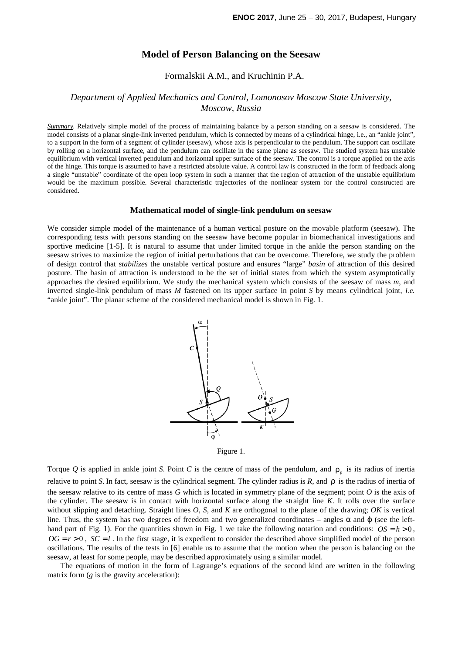# **Model of Person Balancing on the Seesaw**

Formalskii A.M., and Kruchinin P.A.

## *Department of Applied Mechanics and Control, Lomonosov Moscow State University, Moscow, Russia*

*Summary*. Relatively simple model of the process of maintaining balance by a person standing on a seesaw is considered. The model consists of a planar single-link inverted pendulum, which is connected by means of a cylindrical hinge, i.e., an "ankle joint", to a support in the form of a segment of cylinder (seesaw), whose axis is perpendicular to the pendulum. The support can oscillate by rolling on a horizontal surface, and the pendulum can oscillate in the same plane as seesaw. The studied system has unstable equilibrium with vertical inverted pendulum and horizontal upper surface of the seesaw. The control is a torque applied on the axis of the hinge. This torque is assumed to have a restricted absolute value. A control law is constructed in the form of feedback along a single "unstable" coordinate of the open loop system in such a manner that the region of attraction of the unstable equilibrium would be the maximum possible. Several characteristic trajectories of the nonlinear system for the control constructed are considered.

#### **Mathematical model of single-link pendulum on seesaw**

We consider simple model of the maintenance of a human vertical posture on the movable platform (seesaw). The corresponding tests with persons standing on the seesaw have become popular in biomechanical investigations and sportive medicine [1-5]. It is natural to assume that under limited torque in the ankle the person standing on the seesaw strives to maximize the region of initial perturbations that can be overcome. Therefore, we study the problem of design control that *stabilizes* the unstable vertical posture and ensures "large" *basin* of attraction of this desired posture. The basin of attraction is understood to be the set of initial states from which the system asymptotically approaches the desired equilibrium. We study the mechanical system which consists of the seesaw of mass *m*, and inverted single-link pendulum of mass *M* fastened on its upper surface in point *S* by means cylindrical joint, *i.e.* "ankle joint". The planar scheme of the considered mechanical model is shown in Fig. 1.





Torque Q is applied in ankle joint *S*. Point C is the centre of mass of the pendulum, and  $\rho_p$  is its radius of inertia relative to point *S*. In fact, seesaw is the cylindrical segment. The cylinder radius is *R*, and ρ is the radius of inertia of the seesaw relative to its centre of mass *G* which is located in symmetry plane of the segment; point *O* is the axis of the cylinder. The seesaw is in contact with horizontal surface along the straight line *K*. It rolls over the surface without slipping and detaching. Straight lines *O*, *S*, and *K* are orthogonal to the plane of the drawing; *OK* is vertical line. Thus, the system has two degrees of freedom and two generalized coordinates – angles  $\alpha$  and  $\varphi$  (see the lefthand part of Fig. 1). For the quantities shown in Fig. 1 we take the following notation and conditions:  $OS = h > 0$ ,  $OG = r > 0$ ,  $SC = l$ . In the first stage, it is expedient to consider the described above simplified model of the person oscillations. The results of the tests in [6] enable us to assume that the motion when the person is balancing on the seesaw, at least for some people, may be described approximately using a similar model.

The equations of motion in the form of Lagrange's equations of the second kind are written in the following matrix form (*g* is the gravity acceleration):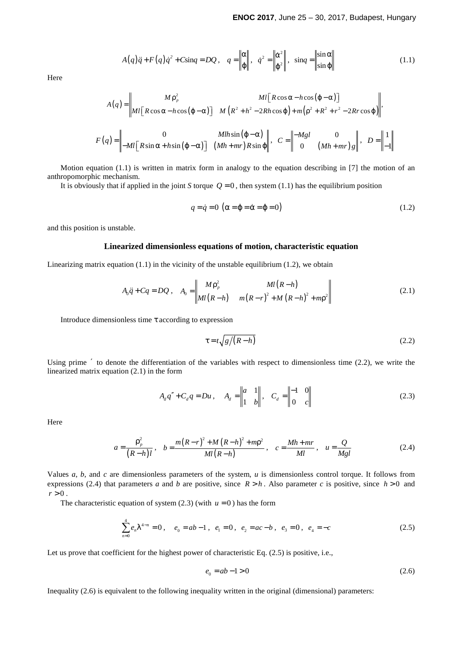$$
A(q)\ddot{q} + F(q)\dot{q}^2 + C\sin q = DQ, \quad q = \left\| \begin{matrix} \alpha \\ \varphi \end{matrix} \right\|, \quad \dot{q}^2 = \left\| \begin{matrix} \dot{\alpha}^2 \\ \dot{\varphi}^2 \end{matrix} \right\|, \quad \sin q = \left\| \begin{matrix} \sin \alpha \\ \sin \varphi \end{matrix} \right\| \tag{1.1}
$$

Here

$$
A(q) = \begin{vmatrix} M\rho_p^2 & Ml \big[ R\cos\alpha - h\cos(\varphi - \alpha) \big] \\ Ml \big[ R\cos\alpha - h\cos(\varphi - \alpha) \big] & M \big( R^2 + h^2 - 2Rh\cos\varphi \big) + m\big( \rho^2 + R^2 + r^2 - 2Rr\cos\varphi \big) \end{vmatrix},
$$
  

$$
F(q) = \begin{vmatrix} 0 & Mlh\sin(\varphi - \alpha) \\ -Ml \big[ R\sin\alpha + h\sin(\varphi - \alpha) \big] & (Mh + mr)R\sin\varphi \end{vmatrix}, \quad C = \begin{vmatrix} -Mgl & 0 \\ 0 & (Mh + mr)g \end{vmatrix}, \quad D = \begin{vmatrix} 1 \\ -1 \end{vmatrix}
$$

Motion equation (1.1) is written in matrix form in analogy to the equation describing in [7] the motion of an anthropomorphic mechanism.

It is obviously that if applied in the joint *S* torque  $Q = 0$ , then system (1.1) has the equilibrium position

$$
q = \dot{q} = 0 \left( \alpha = \varphi = \dot{\alpha} = \dot{\varphi} = 0 \right) \tag{1.2}
$$

and this position is unstable.

### **Linearized dimensionless equations of motion, characteristic equation**

Linearizing matrix equation  $(1.1)$  in the vicinity of the unstable equilibrium  $(1.2)$ , we obtain

$$
A_0 \ddot{q} + Cq = DQ \,, \quad A_0 = \begin{vmatrix} M \rho_p^2 & M l (R - h) \\ M l (R - h) & m (R - r)^2 + M (R - h)^2 + m \rho^2 \end{vmatrix} \tag{2.1}
$$

Introduce dimensionless time τ according to expression

$$
\tau = t \sqrt{g/(R - h)}
$$
 (2.2)

Using prime ′ to denote the differentiation of the variables with respect to dimensionless time (2.2), we write the linearized matrix equation (2.1) in the form

$$
A_d q'' + C_d q = Du, \quad A_d = \begin{vmatrix} a & 1 \\ 1 & b \end{vmatrix}, \quad C_d = \begin{vmatrix} -1 & 0 \\ 0 & c \end{vmatrix}
$$
 (2.3)

Here

$$
a = \frac{\rho_p^2}{(R - h)l}, \quad b = \frac{m(R - r)^2 + M(R - h)^2 + m\rho^2}{Ml(R - h)}, \quad c = \frac{Mh + mr}{Ml}, \quad u = \frac{Q}{Mgl}
$$
(2.4)

Values *a*, *b*, and *c* are dimensionless parameters of the system, *u* is dimensionless control torque. It follows from expressions (2.4) that parameters *a* and *b* are positive, since  $R > h$ . Also parameter *c* is positive, since  $h > 0$  and  $r > 0$ .

The characteristic equation of system  $(2.3)$  (with  $u = 0$ ) has the form

$$
\sum_{n=0}^{4} e_n \lambda^{4-n} = 0, \quad e_0 = ab - 1, \quad e_1 = 0, \quad e_2 = ac - b, \quad e_3 = 0, \quad e_4 = -c \tag{2.5}
$$

Let us prove that coefficient for the highest power of characteristic Eq.  $(2.5)$  is positive, i.e.,

$$
e_0 = ab - 1 > 0 \tag{2.6}
$$

Inequality (2.6) is equivalent to the following inequality written in the original (dimensional) parameters: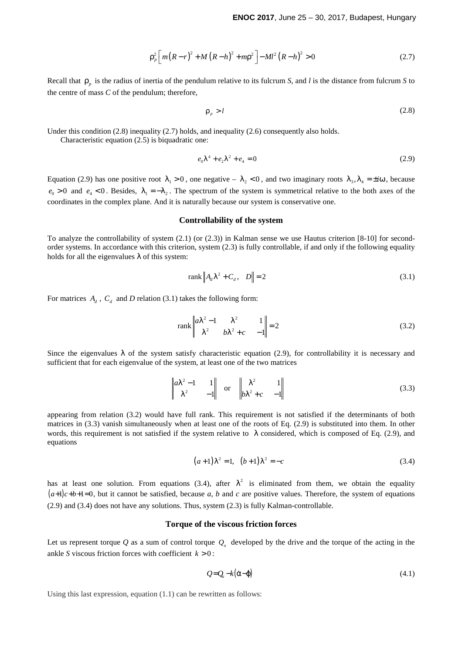$$
\rho_p^2 \left[ m(R - r)^2 + M (R - h)^2 + m \rho^2 \right] - M l^2 (R - h)^2 > 0 \tag{2.7}
$$

Recall that ρ*<sup>p</sup>* is the radius of inertia of the pendulum relative to its fulcrum *S*, and *l* is the distance from fulcrum *S* to the centre of mass *C* of the pendulum; therefore,

$$
\rho_p > l \tag{2.8}
$$

Under this condition (2.8) inequality (2.7) holds, and inequality (2.6) consequently also holds.

Characteristic equation (2.5) is biquadratic one:

$$
e_0 \lambda^4 + e_2 \lambda^2 + e_4 = 0 \tag{2.9}
$$

Equation (2.9) has one positive root  $\lambda_1 > 0$ , one negative –  $\lambda_2 < 0$ , and two imaginary roots  $\lambda_3$ ,  $\lambda_4 = \pm i\omega$ , because  $e_0 > 0$  and  $e_4 < 0$ . Besides,  $\lambda_1 = -\lambda_2$ . The spectrum of the system is symmetrical relative to the both axes of the coordinates in the complex plane. And it is naturally because our system is conservative one.

### **Controllability of the system**

To analyze the controllability of system (2.1) (or (2.3)) in Kalman sense we use Hautus criterion [8-10] for secondorder systems. In accordance with this criterion, system (2.3) is fully controllable, if and only if the following equality holds for all the eigenvalues  $\lambda$  of this system:

$$
\text{rank}\left\|A_d\lambda^2 + C_d, \quad D\right\| = 2\tag{3.1}
$$

For matrices  $A_d$ ,  $C_d$  and *D* relation (3.1) takes the following form:

$$
\operatorname{rank} \begin{vmatrix} a\lambda^2 - 1 & \lambda^2 & 1 \\ \lambda^2 & b\lambda^2 + c & -1 \end{vmatrix} = 2
$$
 (3.2)

Since the eigenvalues  $\lambda$  of the system satisfy characteristic equation (2.9), for controllability it is necessary and sufficient that for each eigenvalue of the system, at least one of the two matrices

$$
\begin{vmatrix} a\lambda^2 - 1 & 1 \\ \lambda^2 & -1 \end{vmatrix} \quad \text{or} \quad \begin{vmatrix} \lambda^2 & 1 \\ b\lambda^2 + c & -1 \end{vmatrix}
$$
 (3.3)

appearing from relation (3.2) would have full rank. This requirement is not satisfied if the determinants of both matrices in (3.3) vanish simultaneously when at least one of the roots of Eq. (2.9) is substituted into them. In other words, this requirement is not satisfied if the system relative to  $\lambda$  considered, which is composed of Eq. (2.9), and equations

$$
(a+1)\lambda^2 = 1, \quad (b+1)\lambda^2 = -c \tag{3.4}
$$

has at least one solution. From equations (3.4), after  $\lambda^2$  is eliminated from them, we obtain the equality  $(a+1)c+b+1=0$ , but it cannot be satisfied, because *a*, *b* and *c* are positive values. Therefore, the system of equations (2.9) and (3.4) does not have any solutions. Thus, system (2.3) is fully Kalman-controllable.

#### **Torque of the viscous friction forces**

Let us represent torque  $Q$  as a sum of control torque  $Q<sub>u</sub>$  developed by the drive and the torque of the acting in the ankle *S* viscous friction forces with coefficient  $k > 0$ :

$$
Q = Q_a - k(\dot{\alpha} - \dot{\phi}) \tag{4.1}
$$

Using this last expression, equation (1.1) can be rewritten as follows: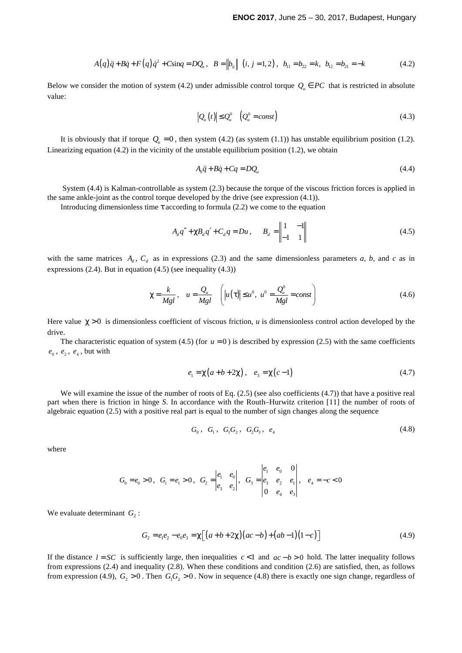$$
A(q)\ddot{q} + B\dot{q} + F(q)\dot{q}^2 + C\sin q = DQ_u, \quad B = ||b_{ij}|| (i, j = 1, 2), \quad b_{11} = b_{22} = k, \quad b_{12} = b_{21} = -k
$$
 (4.2)

Below we consider the motion of system (4.2) under admissible control torque  $Q_u \in PC$  that is restricted in absolute value:

$$
\left|Q_u(t)\right| \leq Q_u^0 \quad \left(Q_u^0 = const\right) \tag{4.3}
$$

It is obviously that if torque  $Q_u = 0$ , then system (4.2) (as system (1.1)) has unstable equilibrium position (1.2). Linearizing equation  $(4.2)$  in the vicinity of the unstable equilibrium position  $(1.2)$ , we obtain

$$
A_0 \ddot{q} + B \dot{q} + Cq = DQ_u \tag{4.4}
$$

 System (4.4) is Kalman-controllable as system (2.3) because the torque of the viscous friction forces is applied in the same ankle-joint as the control torque developed by the drive (see expression (4.1)).

Introducing dimensionless time  $\tau$  according to formula (2.2) we come to the equation

$$
A_d q'' + \chi B_d q' + C_d q = Du, \qquad B_d = \begin{vmatrix} 1 & -1 \\ -1 & 1 \end{vmatrix}
$$
 (4.5)

with the same matrices  $A_d$ ,  $C_d$  as in expressions (2.3) and the same dimensionless parameters *a*, *b*, and *c* as in expressions (2.4). But in equation (4.5) (see inequality (4.3))

$$
\chi = \frac{k}{Mgl}, \quad u = \frac{Q_u}{Mgl} \quad \left( |u(\tau)| \le u^0, \ u^0 = \frac{Q_u^0}{Mgl} = const \right) \tag{4.6}
$$

Here value  $\gamma > 0$  is dimensionless coefficient of viscous friction, *u* is dimensionless control action developed by the drive.

The characteristic equation of system (4.5) (for  $u = 0$ ) is described by expression (2.5) with the same coefficients  $e_0$ ,  $e_2$ ,  $e_4$ , but with

$$
e_1 = \chi(a+b+2\chi), \quad e_3 = \chi(c-1) \tag{4.7}
$$

We will examine the issue of the number of roots of Eq.  $(2.5)$  (see also coefficients  $(4.7)$ ) that have a positive real part when there is friction in hinge *S*. In accordance with the Routh–Hurwitz criterion [11] the number of roots of algebraic equation (2.5) with a positive real part is equal to the number of sign changes along the sequence

$$
G_0, G_1, G_1G_2, G_2G_3, e_4 \t\t(4.8)
$$

where

$$
G_0 = e_0 > 0, \quad G_1 = e_1 > 0, \quad G_2 = \begin{vmatrix} e_1 & e_0 \\ e_3 & e_2 \end{vmatrix}, \quad G_3 = \begin{vmatrix} e_1 & e_0 & 0 \\ e_3 & e_2 & e_1 \\ 0 & e_4 & e_3 \end{vmatrix}, \quad e_4 = -c < 0
$$

We evaluate determinant  $G_2$ :

$$
G_2 = e_1 e_2 - e_0 e_3 = \chi \left[ \left( a + b + 2\chi \right) \left( ac - b \right) + \left( ab - 1 \right) \left( 1 - c \right) \right] \tag{4.9}
$$

If the distance  $l = SC$  is sufficiently large, then inequalities  $c < 1$  and  $ac - b > 0$  hold. The latter inequality follows from expressions  $(2.4)$  and inequality  $(2.8)$ . When these conditions and condition  $(2.6)$  are satisfied, then, as follows from expression (4.9),  $G_2 > 0$ . Then  $G_1 G_2 > 0$ . Now in sequence (4.8) there is exactly one sign change, regardless of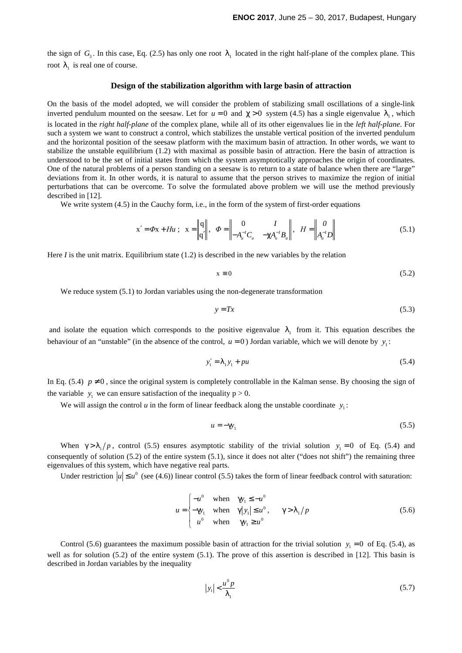the sign of  $G_3$ . In this case, Eq. (2.5) has only one root  $\lambda_1$  located in the right half-plane of the complex plane. This root  $\lambda_1$  is real one of course.

### **Design of the stabilization algorithm with large basin of attraction**

On the basis of the model adopted, we will consider the problem of stabilizing small oscillations of a single-link inverted pendulum mounted on the seesaw. Let for  $u = 0$  and  $\chi > 0$  system (4.5) has a single eigenvalue  $\lambda_1$ , which is located in the *right half-plane* of the complex plane, while all of its other eigenvalues lie in the *left half-plane*. For such a system we want to construct a control, which stabilizes the unstable vertical position of the inverted pendulum and the horizontal position of the seesaw platform with the maximum basin of attraction. In other words, we want to stabilize the unstable equilibrium (1.2) with maximal as possible basin of attraction. Here the basin of attraction is understood to be the set of initial states from which the system asymptotically approaches the origin of coordinates. One of the natural problems of a person standing on a seesaw is to return to a state of balance when there are "large" deviations from it. In other words, it is natural to assume that the person strives to maximize the region of initial perturbations that can be overcome. To solve the formulated above problem we will use the method previously described in [12].

We write system  $(4.5)$  in the Cauchy form, i.e., in the form of the system of first-order equations

$$
\mathbf{x}' = \Phi \mathbf{x} + H u \; ; \; \mathbf{x} = \begin{Vmatrix} \mathbf{q} \\ \mathbf{q}' \end{Vmatrix}, \; \Phi = \begin{Vmatrix} 0 & I \\ -A_u^{-I} C_u & -\chi A_u^{-I} B_u \end{Vmatrix}, \; H = \begin{Vmatrix} 0 \\ A_u^{-I} D \end{Vmatrix} \tag{5.1}
$$

Here *I* is the unit matrix. Equilibrium state (1.2) is described in the new variables by the relation

$$
x \equiv 0 \tag{5.2}
$$

We reduce system  $(5.1)$  to Jordan variables using the non-degenerate transformation

$$
y = Tx \tag{5.3}
$$

and isolate the equation which corresponds to the positive eigenvalue  $\lambda_1$  from it. This equation describes the behaviour of an "unstable" (in the absence of the control,  $u = 0$ ) Jordan variable, which we will denote by  $y_1$ :

$$
y_1' = \lambda_1 y_1 + pu \tag{5.4}
$$

In Eq. (5.4)  $p \neq 0$ , since the original system is completely controllable in the Kalman sense. By choosing the sign of the variable  $y_1$  we can ensure satisfaction of the inequality  $p > 0$ .

We will assign the control  $u$  in the form of linear feedback along the unstable coordinate  $y_1$ :

$$
u = -\gamma y_1 \tag{5.5}
$$

When  $\gamma > \lambda_1/p$ , control (5.5) ensures asymptotic stability of the trivial solution  $y_1 = 0$  of Eq. (5.4) and consequently of solution  $(5.2)$  of the entire system  $(5.1)$ , since it does not alter ("does not shift") the remaining three eigenvalues of this system, which have negative real parts.

Under restriction  $|u| \le u^0$  (see (4.6)) linear control (5.5) takes the form of linear feedback control with saturation:

$$
u = \begin{cases} -u^0 & \text{when } \gamma y_1 \le -u^0 \\ -\gamma y_1 & \text{when } \gamma |y_1| \le u^0, \\ u^0 & \text{when } \gamma y_1 \ge u^0 \end{cases} \qquad \gamma > \lambda_1 / p \tag{5.6}
$$

Control (5.6) guarantees the maximum possible basin of attraction for the trivial solution  $y_1 = 0$  of Eq. (5.4), as well as for solution (5.2) of the entire system (5.1). The prove of this assertion is described in [12]. This basin is described in Jordan variables by the inequality

$$
|y_1| < \frac{u^0 p}{\lambda_1} \tag{5.7}
$$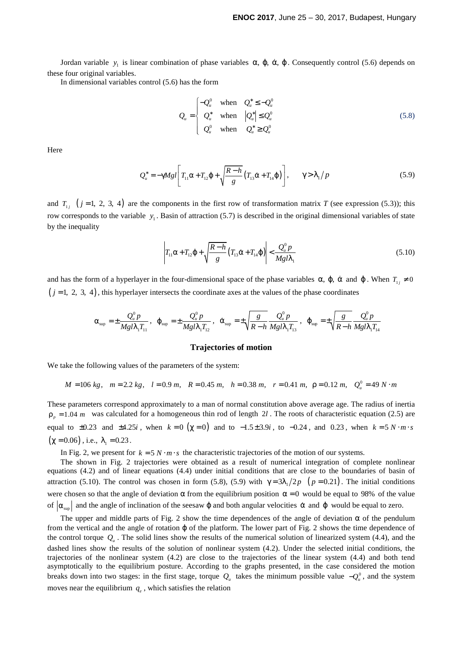Jordan variable  $y_1$  is linear combination of phase variables α,  $\varphi$ ,  $\dot{\alpha}$ ,  $\dot{\varphi}$ . Consequently control (5.6) depends on these four original variables.

In dimensional variables control (5.6) has the form

$$
Q_u = \begin{cases} -Q_u^0 & \text{when } Q_u^* \le -Q_u^0 \\ Q_u^* & \text{when } |Q_u^*| \le Q_u^0 \\ Q_u^0 & \text{when } Q_u^* \ge Q_u^0 \end{cases}
$$
 (5.8)

Here

$$
Q_u^* = -\gamma M g l \left[ T_{11} \alpha + T_{12} \varphi + \sqrt{\frac{R - h}{g}} \left( T_{13} \dot{\alpha} + T_{14} \dot{\varphi} \right) \right], \qquad \gamma > \lambda_1 / p \tag{5.9}
$$

and  $T_{1j}$  ( $j = 1, 2, 3, 4$ ) are the components in the first row of transformation matrix *T* (see expression (5.3)); this row corresponds to the variable y<sub>1</sub>. Basin of attraction (5.7) is described in the original dimensional variables of state by the inequality

$$
\left| T_{11}\alpha + T_{12}\varphi + \sqrt{\frac{R-h}{g}} \left( T_{13}\dot{\alpha} + T_{14}\dot{\varphi} \right) \right| < \frac{Q_u^0 p}{Mgl\lambda_1} \tag{5.10}
$$

and has the form of a hyperlayer in the four-dimensional space of the phase variables  $\alpha$ ,  $\varphi$ ,  $\dot{\alpha}$  and  $\dot{\varphi}$ . When  $T_{ij} \neq 0$  $(j = 1, 2, 3, 4)$ , this hyperlayer intersects the coordinate axes at the values of the phase coordinates

$$
\alpha_{_{\rm sup}}=\pm \frac{Q^0_u p}{M g l \lambda_1 T_{_{11}}}\,,~~\mathfrak{\phi}_{_{\rm sup}}=\pm \frac{Q^0_u p}{M g l \lambda_1 T_{_{12}}}\,,~~\dot{\alpha}_{_{\rm sup}}=\pm \sqrt{\frac{g}{R-h}}\,\frac{Q^0_u p}{M g l \lambda_1 T_{_{13}}}\,,~~\dot{\phi}_{_{\rm sup}}=\pm \sqrt{\frac{g}{R-h}}\,\frac{Q^0_u p}{M g l \lambda_1 T_{_{14}}}
$$

#### **Trajectories of motion**

We take the following values of the parameters of the system:

$$
M = 106 \text{ kg}, \quad m = 2.2 \text{ kg}, \quad l = 0.9 \text{ m}, \quad R = 0.45 \text{ m}, \quad h = 0.38 \text{ m}, \quad r = 0.41 \text{ m}, \quad \rho = 0.12 \text{ m}, \quad Q_u^0 = 49 \text{ N} \cdot \text{m}
$$

These parameters correspond approximately to a man of normal constitution above average age. The radius of inertia  $p_n = 1.04$  *m* was calculated for a homogeneous thin rod of length 2*l*. The roots of characteristic equation (2.5) are equal to  $\pm 0.23$  and  $\pm 4.25i$ , when  $k = 0$  ( $\chi = 0$ ) and to  $-1.5 \pm 3.9i$ , to  $-0.24$ , and 0.23, when  $k = 5 N \cdot m \cdot s$  $(\chi = 0.06)$ , i.e.,  $\lambda_1 = 0.23$ .

In Fig. 2, we present for  $k = 5 N \cdot m \cdot s$  the characteristic trajectories of the motion of our systems.

The shown in Fig. 2 trajectories were obtained as a result of numerical integration of complete nonlinear equations (4.2) and of linear equations (4.4) under initial conditions that are close to the boundaries of basin of attraction (5.10). The control was chosen in form (5.8), (5.9) with  $\gamma = 3\lambda_1/2p$  ( $p = 0.21$ ). The initial conditions were chosen so that the angle of deviation  $\alpha$  from the equilibrium position  $\alpha = 0$  would be equal to 98% of the value of  $|\alpha_{\text{sup}}|$  and the angle of inclination of the seesaw  $\varphi$  and both angular velocities  $\dot{\alpha}$  and  $\dot{\varphi}$  would be equal to zero.

The upper and middle parts of Fig. 2 show the time dependences of the angle of deviation  $\alpha$  of the pendulum from the vertical and the angle of rotation  $\varphi$  of the platform. The lower part of Fig. 2 shows the time dependence of the control torque  $Q_u$ . The solid lines show the results of the numerical solution of linearized system (4.4), and the dashed lines show the results of the solution of nonlinear system (4.2). Under the selected initial conditions, the trajectories of the nonlinear system (4.2) are close to the trajectories of the linear system (4.4) and both tend asymptotically to the equilibrium posture. According to the graphs presented, in the case considered the motion breaks down into two stages: in the first stage, torque  $Q_u$  takes the minimum possible value  $-Q_u^0$ , and the system moves near the equilibrium  $q_e$ , which satisfies the relation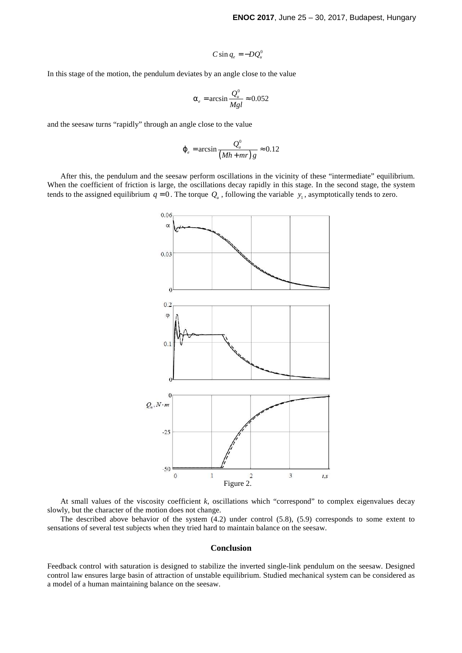$$
C\sin q_e = -DQ_u^0
$$

In this stage of the motion, the pendulum deviates by an angle close to the value

$$
\alpha_e = \arcsin \frac{Q_u^0}{Mgl} \approx 0.052
$$

and the seesaw turns "rapidly" through an angle close to the value

$$
\varphi_e = \arcsin \frac{Q_u^0}{(Mh + mr)g} \approx 0.12
$$

After this, the pendulum and the seesaw perform oscillations in the vicinity of these "intermediate" equilibrium. When the coefficient of friction is large, the oscillations decay rapidly in this stage. In the second stage, the system tends to the assigned equilibrium  $q = 0$ . The torque  $Q_u$ , following the variable  $y_1$ , asymptotically tends to zero.



At small values of the viscosity coefficient *k*, oscillations which "correspond" to complex eigenvalues decay slowly, but the character of the motion does not change.

The described above behavior of the system (4.2) under control (5.8), (5.9) corresponds to some extent to sensations of several test subjects when they tried hard to maintain balance on the seesaw.

#### **Conclusion**

Feedback control with saturation is designed to stabilize the inverted single-link pendulum on the seesaw. Designed control law ensures large basin of attraction of unstable equilibrium. Studied mechanical system can be considered as a model of a human maintaining balance on the seesaw.